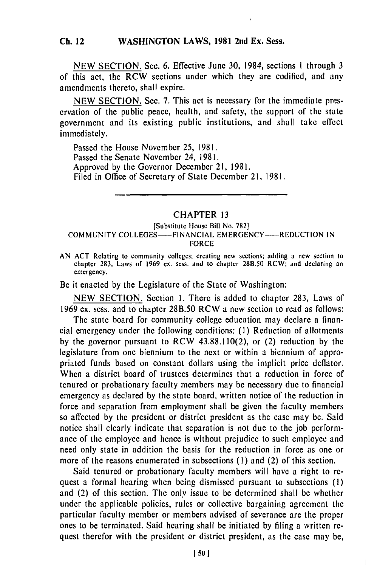#### **WASHINGTON LAWS, 1981 2nd Ex. Sess. Ch. 12**

**NEW SECTION.** Sec. **6.** Effective June **30,** 1984, sections **I** through **3** of this act, the RCW sections under which they are codified, and any amendments thereto, shall expire.

NEW SECTION. Sec. 7. This act is necessary for the immediate preservation of the public peace, health, and safety, the support of the state government and its existing public institutions, and shall take effect immediately.

Passed the House November **25,** 1981. Passed the Senate November 24, 1981. Approved by the Governor December 21, 1981. Filed in Office of Secretary of State December 21, 1981.

# CHAPTER 13

### [Substitute House Bill No. 782] COMMUNITY COLLEGES---- FINANCIAL EMERGENCY----- REDUCTION IN FORCE

AN ACT Relating to community colleges; creating new sections; adding a new section to chapter 283, Laws of 1969 ex. scss. and to chapter 28B.50 RCW; and declaring an emergency.

Be it enacted by the Legislature of the State of Washington:

NEW SECTION. Section 1. There is added to chapter 283, Laws of 1969 ex. sess. and to chapter 28B.50 RCW a new section to read as follows:

The state board for community college education may declare a financial emergency under the following conditions: **(1)** Reduction of allotments by the governor pursuant to RCW 43.88.110(2), or (2) reduction by the legislature from one biennium to the next or within a biennium of appropriated funds based on constant dollars using the implicit price deflator. When a district board of trustees determines that a reduction in force of tenured or probationary faculty members may be necessary due to financial emergency as declared by the state board, written notice of the reduction in force and separation from employment shall be given the faculty members so affected by the president or district president as the case may be. Said notice shall clearly indicate that separation is not due to the job performance of the employee and hence is without prejudice to such employee and need only state in addition the basis for the reduction in force as one or more of the reasons enumerated in subsections **(1)** and (2) of this section.

Said tenured or probationary faculty members will have a right to request a formal hearing when being dismissed pursuant to subsections (I) and (2) of this section. The only issue to be determined shall be whether under the applicable policies, rules or collective bargaining agreement the particular faculty member or members advised of severance are the proper ones to be terminated. Said hearing shall be initiated by filing a written request therefor with the president or district president, as the case may be,

 $\overline{1}$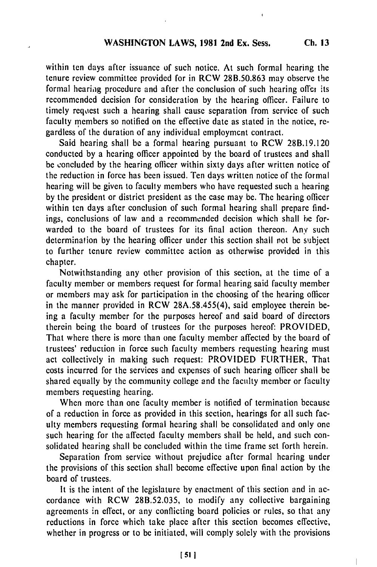within ten days after issuance of such notice. At such formal hearing the tenure review committee provided for in RCW 28B.50.863 may observe the formal hearing procedure and after the conclusion of such hearing offer its recommended decision for consideration by the hearing officer. Failure to timely request such a hearing shall cause separation from service of such faculty members so notified on the effective date as stated in the notice, regardless of the duration of any individual employment contract.

Said hearing shall be a formal hearing pursuant to RCW 28B.19.120 conducted by a hearing officer appointed by the board of trustees and shall be concluded by the hearing officer within sixty days after written notice of the reduction in force has been issued. Ten days written notice of the formal hearing will be given to faculty members who have requested such a hearing by the president or district president as the case may be. The hearing officer within ten days after conclusion of such formal hearing shall prepare findings, conclusions of law and a recommended decision which shall be forwarded to the board of trustees for its final action thereon. Any such determination **by** the hearing officer under this section shall not be subject to further tenure review committee action as otherwise provided in this chapter.

Notwithstanding any other provision of this section, at the time of a faculty member or members request for formal hearing said faculty member or members may ask for participation in the choosing of the hearing officer in the manner provided in RCW 28A.58.455(4), said employee therein being a faculty member for the purposes hereof and said board of directors therein being the board of trustees for the purposes hereof: PROVIDED, That where there is more than one faculty member affected by the board of trustees' reduction in force such faculty members requesting hearing must act collectively in making such request: PROVIDED FURTHER, That costs incurred for the services and expenses of such hearing officer shall be shared equally by the community college and the faculty member or faculty members requesting hearing.

When more than one faculty member is notified of termination because of a reduction in force as provided in this section, hearings for all such faculty members requesting formal hearing shall be consolidated and only one such hearing for the affected faculty members shall be held, and such consolidated hearing shall be concluded within the time frame set forth herein.

Separation from service without prejudice after formal hearing under the provisions of this section shall become effective upon final action by the board of trustees.

It is the intent of the legislature by enactment of this section and in accordance with RCW 28B.52.035, to modify any collective bargaining agreements in effect, or any conflicting board policies or rules, so that any reductions in force which take place after this section becomes effective, whether in progress or to be initiated, will comply solely with the provisions